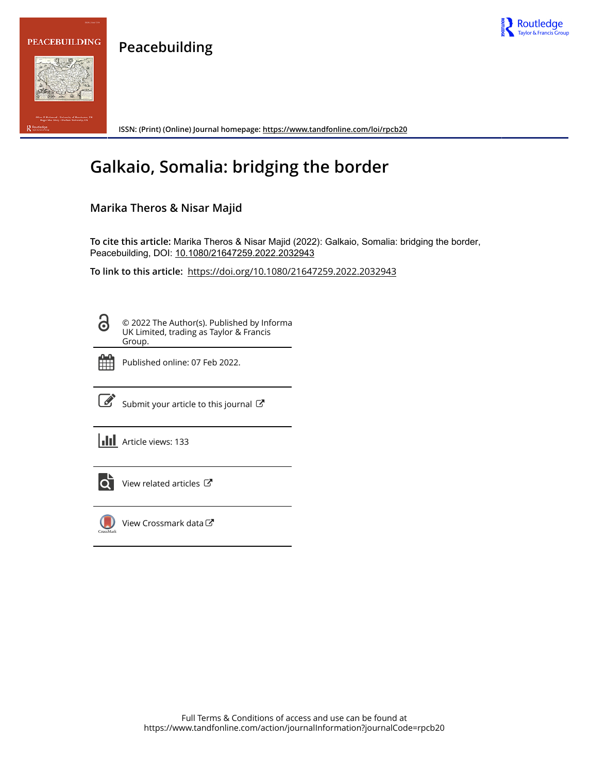



**ISSN: (Print) (Online) Journal homepage:<https://www.tandfonline.com/loi/rpcb20>**

# **Galkaio, Somalia: bridging the border**

# **Marika Theros & Nisar Majid**

**Peacebuilding**

**To cite this article:** Marika Theros & Nisar Majid (2022): Galkaio, Somalia: bridging the border, Peacebuilding, DOI: [10.1080/21647259.2022.2032943](https://www.tandfonline.com/action/showCitFormats?doi=10.1080/21647259.2022.2032943)

**To link to this article:** <https://doi.org/10.1080/21647259.2022.2032943>

8

© 2022 The Author(s). Published by Informa UK Limited, trading as Taylor & Francis Group.



Published online: 07 Feb 2022.



 $\overrightarrow{S}$  [Submit your article to this journal](https://www.tandfonline.com/action/authorSubmission?journalCode=rpcb20&show=instructions)  $\overrightarrow{S}$ 

**III** Article views: 133



[View related articles](https://www.tandfonline.com/doi/mlt/10.1080/21647259.2022.2032943) C



[View Crossmark data](http://crossmark.crossref.org/dialog/?doi=10.1080/21647259.2022.2032943&domain=pdf&date_stamp=2022-02-07)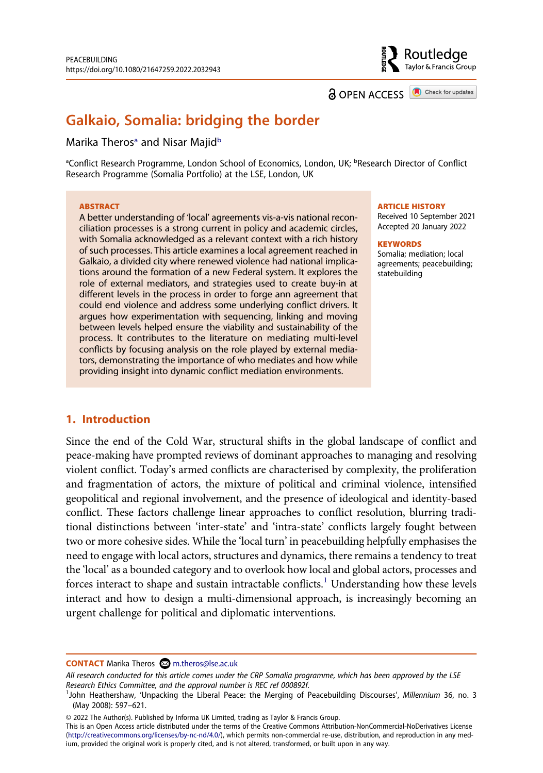Routledge Taylor & Francis Group

**a** OPEN ACCESS **a** Check for updates

# **Galkaio, Somalia: bridging the border**

#### M[a](#page-1-0)rika Theros<sup>a</sup> and Nisar Majid<sup>b</sup>

<span id="page-1-0"></span><sup>a</sup>Conflict Research Programme, London School of Economics, London, UK; <sup>b</sup>Research Director of Conflict Research Programme (Somalia Portfolio) at the LSE, London, UK

#### **ABSTRACT**

A better understanding of 'local' agreements vis-a-vis national reconciliation processes is a strong current in policy and academic circles, with Somalia acknowledged as a relevant context with a rich history of such processes. This article examines a local agreement reached in Galkaio, a divided city where renewed violence had national implications around the formation of a new Federal system. It explores the role of external mediators, and strategies used to create buy-in at different levels in the process in order to forge ann agreement that could end violence and address some underlying conflict drivers. It argues how experimentation with sequencing, linking and moving between levels helped ensure the viability and sustainability of the process. It contributes to the literature on mediating multi-level conflicts by focusing analysis on the role played by external mediators, demonstrating the importance of who mediates and how while providing insight into dynamic conflict mediation environments.

#### **ARTICLE HISTORY**

Received 10 September 2021 Accepted 20 January 2022

#### **KEYWORDS**

Somalia; mediation; local agreements; peacebuilding; statebuilding

### **1. Introduction**

Since the end of the Cold War, structural shifts in the global landscape of conflict and peace-making have prompted reviews of dominant approaches to managing and resolving violent conflict. Today's armed conflicts are characterised by complexity, the proliferation and fragmentation of actors, the mixture of political and criminal violence, intensified geopolitical and regional involvement, and the presence of ideological and identity-based conflict. These factors challenge linear approaches to conflict resolution, blurring traditional distinctions between 'inter-state' and 'intra-state' conflicts largely fought between two or more cohesive sides. While the 'local turn' in peacebuilding helpfully emphasises the need to engage with local actors, structures and dynamics, there remains a tendency to treat the 'local' as a bounded category and to overlook how local and global actors, processes and forces interact to shape and sustain intractable conflicts.<sup>1</sup> Understanding how these levels interact and how to design a multi-dimensional approach, is increasingly becoming an urgent challenge for political and diplomatic interventions.

**CONTACT** Marika Theros **M** m.theros@lse.ac.uk

© 2022 The Author(s). Published by Informa UK Limited, trading as Taylor & Francis Group.

This is an Open Access article distributed under the terms of the Creative Commons Attribution-NonCommercial-NoDerivatives License (http://creativecommons.org/licenses/by-nc-nd/4.0/), which permits non-commercial re-use, distribution, and reproduction in any medium, provided the original work is properly cited, and is not altered, transformed, or built upon in any way.

*All research conducted for this article comes under the CRP Somalia programme, which has been approved by the LSE Research Ethics Committee, and the approval number is REC ref 000892f.* <sup>1</sup>

<span id="page-1-1"></span>John Heathershaw, 'Unpacking the Liberal Peace: the Merging of Peacebuilding Discourses', *Millennium* 36, no. 3 (May 2008): 597–621.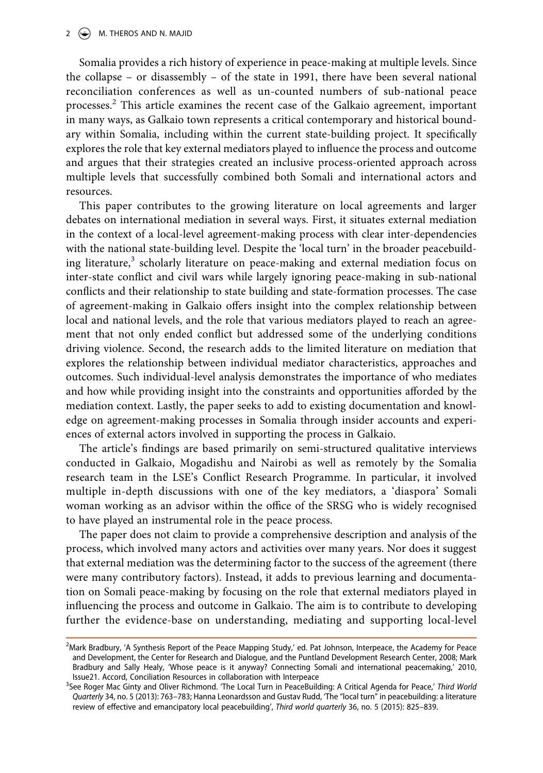Somalia provides a rich history of experience in peace-making at multiple levels. Since the collapse – or disassembly – of the state in 1991, there have been several national reconciliation conferences as well as un-counted numbers of sub-national peace processes[.2](#page-2-0) This article examines the recent case of the Galkaio agreement, important in many ways, as Galkaio town represents a critical contemporary and historical boundary within Somalia, including within the current state-building project. It specifically explores the role that key external mediators played to influence the process and outcome and argues that their strategies created an inclusive process-oriented approach across multiple levels that successfully combined both Somali and international actors and resources.

This paper contributes to the growing literature on local agreements and larger debates on international mediation in several ways. First, it situates external mediation in the context of a local-level agreement-making process with clear inter-dependencies with the national state-building level. Despite the 'local turn' in the broader peacebuilding literature,<sup>3</sup> scholarly literature on peace-making and external mediation focus on inter-state conflict and civil wars while largely ignoring peace-making in sub-national conflicts and their relationship to state building and state-formation processes. The case of agreement-making in Galkaio offers insight into the complex relationship between local and national levels, and the role that various mediators played to reach an agreement that not only ended conflict but addressed some of the underlying conditions driving violence. Second, the research adds to the limited literature on mediation that explores the relationship between individual mediator characteristics, approaches and outcomes. Such individual-level analysis demonstrates the importance of who mediates and how while providing insight into the constraints and opportunities afforded by the mediation context. Lastly, the paper seeks to add to existing documentation and knowledge on agreement-making processes in Somalia through insider accounts and experiences of external actors involved in supporting the process in Galkaio.

The article's findings are based primarily on semi-structured qualitative interviews conducted in Galkaio, Mogadishu and Nairobi as well as remotely by the Somalia research team in the LSE's Conflict Research Programme. In particular, it involved multiple in-depth discussions with one of the key mediators, a 'diaspora' Somali woman working as an advisor within the office of the SRSG who is widely recognised to have played an instrumental role in the peace process.

The paper does not claim to provide a comprehensive description and analysis of the process, which involved many actors and activities over many years. Nor does it suggest that external mediation was the determining factor to the success of the agreement (there were many contributory factors). Instead, it adds to previous learning and documentation on Somali peace-making by focusing on the role that external mediators played in influencing the process and outcome in Galkaio. The aim is to contribute to developing further the evidence-base on understanding, mediating and supporting local-level

<span id="page-2-0"></span><sup>&</sup>lt;sup>2</sup>Mark Bradbury, 'A Synthesis Report of the Peace Mapping Study,' ed. Pat Johnson, Interpeace, the Academy for Peace and Development, the Center for Research and Dialogue, and the Puntland Development Research Center, 2008; Mark Bradbury and Sally Healy, 'Whose peace is it anyway? Connecting Somali and international peacemaking,' 2010, Issue21. Accord, Conciliation Resources in collaboration with Interpeace <sup>3</sup>

<span id="page-2-1"></span>See Roger Mac Ginty and Oliver Richmond. 'The Local Turn in PeaceBuilding: A Critical Agenda for Peace,' *Third World Quarterly* 34, no. 5 (2013): 763–783; Hanna Leonardsson and Gustav Rudd, 'The "local turn" in peacebuilding: a literature review of effective and emancipatory local peacebuilding', *Third world quarterly* 36, no. 5 (2015): 825–839.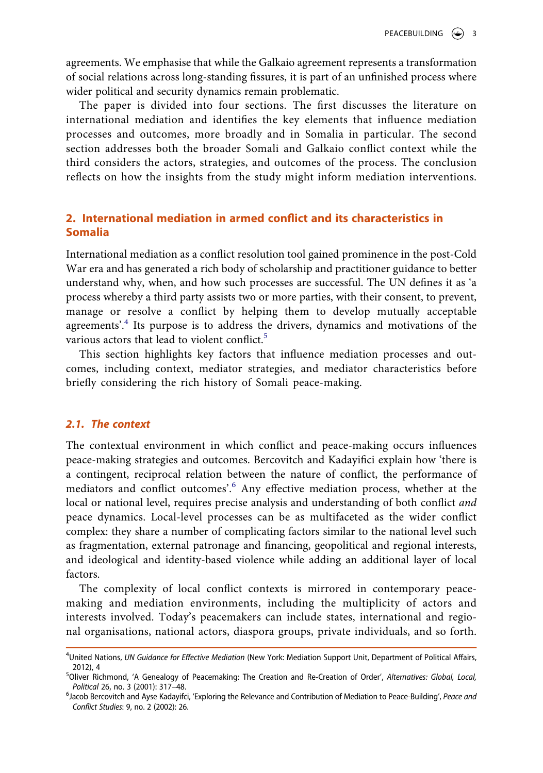agreements. We emphasise that while the Galkaio agreement represents a transformation of social relations across long-standing fissures, it is part of an unfinished process where wider political and security dynamics remain problematic.

The paper is divided into four sections. The first discusses the literature on international mediation and identifies the key elements that influence mediation processes and outcomes, more broadly and in Somalia in particular. The second section addresses both the broader Somali and Galkaio conflict context while the third considers the actors, strategies, and outcomes of the process. The conclusion reflects on how the insights from the study might inform mediation interventions.

### **2. International mediation in armed conflict and its characteristics in Somalia**

International mediation as a conflict resolution tool gained prominence in the post-Cold War era and has generated a rich body of scholarship and practitioner guidance to better understand why, when, and how such processes are successful. The UN defines it as 'a process whereby a third party assists two or more parties, with their consent, to prevent, manage or resolve a conflict by helping them to develop mutually acceptable agreements'.<sup>4</sup> Its purpose is to address the drivers, dynamics and motivations of the various actors that lead to violent conflict.<sup>5</sup>

This section highlights key factors that influence mediation processes and outcomes, including context, mediator strategies, and mediator characteristics before briefly considering the rich history of Somali peace-making.

#### *2.1. The context*

The contextual environment in which conflict and peace-making occurs influences peace-making strategies and outcomes. Bercovitch and Kadayifici explain how 'there is a contingent, reciprocal relation between the nature of conflict, the performance of mediators and conflict outcomes'.[6](#page-3-2) Any effective mediation process, whether at the local or national level, requires precise analysis and understanding of both conflict *and*  peace dynamics. Local-level processes can be as multifaceted as the wider conflict complex: they share a number of complicating factors similar to the national level such as fragmentation, external patronage and financing, geopolitical and regional interests, and ideological and identity-based violence while adding an additional layer of local factors.

The complexity of local conflict contexts is mirrored in contemporary peacemaking and mediation environments, including the multiplicity of actors and interests involved. Today's peacemakers can include states, international and regional organisations, national actors, diaspora groups, private individuals, and so forth.

<span id="page-3-0"></span><sup>4</sup> United Nations, *UN Guidance for Effective Mediation* (New York: Mediation Support Unit, Department of Political Affairs, 2012), 4 <sup>5</sup> Oliver Richmond, 'A Genealogy of Peacemaking: The Creation and Re-Creation of Order', *Alternatives: Global, Local,* 

<span id="page-3-1"></span>*Political* 26, no. 3 (2001): 317–48. <sup>6</sup> Jacob Bercovitch and Ayse Kadayifci, 'Exploring the Relevance and Contribution of Mediation to Peace-Building', *Peace and* 

<span id="page-3-2"></span>*Conflict Studies*: 9, no. 2 (2002): 26.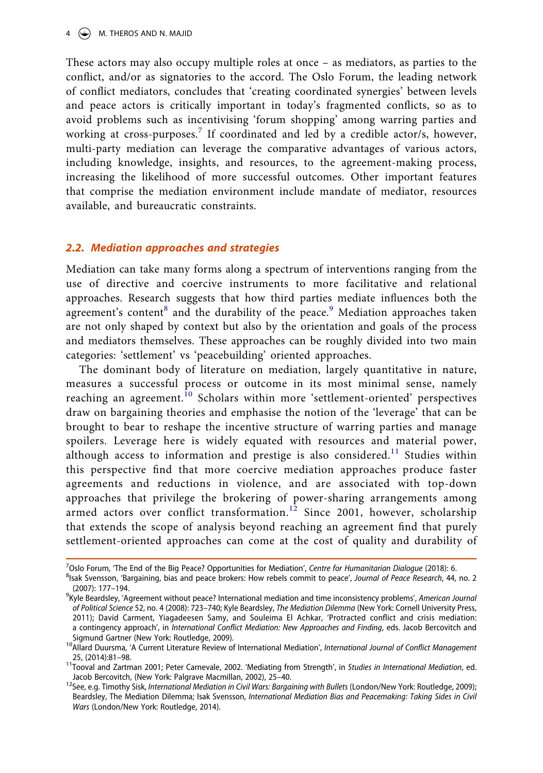These actors may also occupy multiple roles at once – as mediators, as parties to the conflict, and/or as signatories to the accord. The Oslo Forum, the leading network of conflict mediators, concludes that 'creating coordinated synergies' between levels and peace actors is critically important in today's fragmented conflicts, so as to avoid problems such as incentivising 'forum shopping' among warring parties and working at cross-purposes.<sup>7</sup> If coordinated and led by a credible actor/s, however, multi-party mediation can leverage the comparative advantages of various actors, including knowledge, insights, and resources, to the agreement-making process, increasing the likelihood of more successful outcomes. Other important features that comprise the mediation environment include mandate of mediator, resources available, and bureaucratic constraints.

#### *2.2. Mediation approaches and strategies*

Mediation can take many forms along a spectrum of interventions ranging from the use of directive and coercive instruments to more facilitative and relational approaches. Research suggests that how third parties mediate influences both the agreement's content<sup>8</sup> and the durability of the peace.<sup>9</sup> Mediation approaches taken are not only shaped by context but also by the orientation and goals of the process and mediators themselves. These approaches can be roughly divided into two main categories: 'settlement' vs 'peacebuilding' oriented approaches.

The dominant body of literature on mediation, largely quantitative in nature, measures a successful process or outcome in its most minimal sense, namely reaching an agreement.<sup>[10](#page-4-3)</sup> Scholars within more 'settlement-oriented' perspectives draw on bargaining theories and emphasise the notion of the 'leverage' that can be brought to bear to reshape the incentive structure of warring parties and manage spoilers. Leverage here is widely equated with resources and material power, although access to information and prestige is also considered.<sup>11</sup> Studies within this perspective find that more coercive mediation approaches produce faster agreements and reductions in violence, and are associated with top-down approaches that privilege the brokering of power-sharing arrangements among armed actors over conflict transformation.<sup>12</sup> Since 2001, however, scholarship that extends the scope of analysis beyond reaching an agreement find that purely settlement-oriented approaches can come at the cost of quality and durability of

<span id="page-4-0"></span><sup>&</sup>lt;sup>7</sup>Oslo Forum, 'The End of the Big Peace? Opportunities for Mediation', *Centre for Humanitarian Dialogue* (2018): 6.<br><sup>8</sup>ISAS Synnsson, 'Bargaining, hias and paace brokers: How rebels commit to paace', lournal of *Regge Re* 

<span id="page-4-1"></span><sup>&</sup>lt;sup>8</sup>lsak Svensson, 'Bargaining, bias and peace brokers: How rebels commit to peace', *Journal of Peace Research*, 44, no. 2<br>(2007): 177–194. (2007): 177–194. <sup>9</sup> Kyle Beardsley, 'Agreement without peace? International mediation and time inconsistency problems', *American Journal* 

<span id="page-4-2"></span>*of Political Science* 52, no. 4 (2008): 723–740; Kyle Beardsley, *The Mediation Dilemma* (New York: Cornell University Press, 2011); David Carment, Yiagadeesen Samy, and Souleima El Achkar, 'Protracted conflict and crisis mediation: a contingency approach', in *International Conflict Mediation: New Approaches and Finding*, eds. Jacob Bercovitch and

<span id="page-4-3"></span><sup>&</sup>lt;sup>10</sup>Allard Duursma, 'A Current Literature Review of International Mediation', *International Journal of Conflict Management* 

<span id="page-4-4"></span><sup>25, (2014):81–98.</sup> 11Tooval and Zartman 2001; Peter Carnevale, 2002. 'Mediating from Strength', in *Studies in International Mediation*, ed.

<span id="page-4-5"></span><sup>&</sup>lt;sup>12</sup>See, e.g. Timothy Sisk, *International Mediation in Civil Wars: Bargaining with Bullets* (London/New York: Routledge, 2009); Beardsley, The Mediation Dilemma; Isak Svensson, *International Mediation Bias and Peacemaking: Taking Sides in Civil Wars* (London/New York: Routledge, 2014).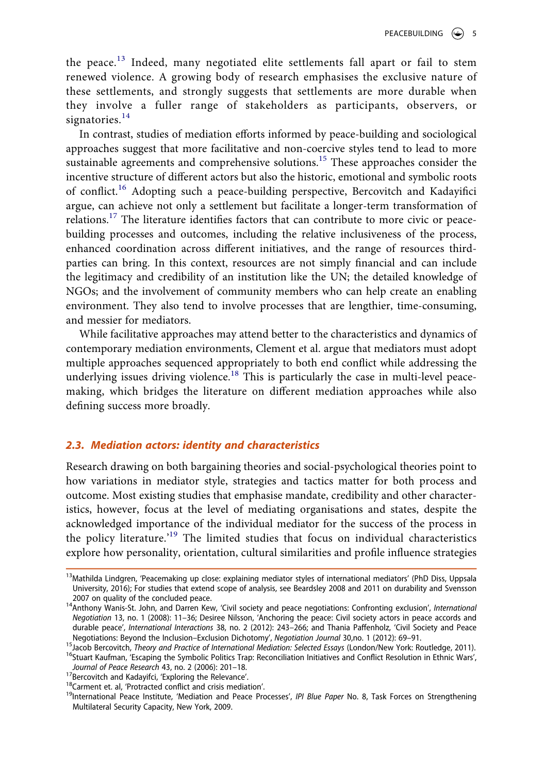the peace.[13](#page-5-0) Indeed, many negotiated elite settlements fall apart or fail to stem renewed violence. A growing body of research emphasises the exclusive nature of these settlements, and strongly suggests that settlements are more durable when they involve a fuller range of stakeholders as participants, observers, or signatories.<sup>[14](#page-5-1)</sup>

In contrast, studies of mediation efforts informed by peace-building and sociological approaches suggest that more facilitative and non-coercive styles tend to lead to more sustainable agreements and comprehensive solutions.<sup>[15](#page-5-2)</sup> These approaches consider the incentive structure of different actors but also the historic, emotional and symbolic roots of conflict.[16](#page-5-3) Adopting such a peace-building perspective, Bercovitch and Kadayifici argue, can achieve not only a settlement but facilitate a longer-term transformation of relations.<sup>17</sup> The literature identifies factors that can contribute to more civic or peacebuilding processes and outcomes, including the relative inclusiveness of the process, enhanced coordination across different initiatives, and the range of resources thirdparties can bring. In this context, resources are not simply financial and can include the legitimacy and credibility of an institution like the UN; the detailed knowledge of NGOs; and the involvement of community members who can help create an enabling environment. They also tend to involve processes that are lengthier, time-consuming, and messier for mediators.

While facilitative approaches may attend better to the characteristics and dynamics of contemporary mediation environments, Clement et al. argue that mediators must adopt multiple approaches sequenced appropriately to both end conflict while addressing the underlying issues driving violence.<sup>[18](#page-5-5)</sup> This is particularly the case in multi-level peacemaking, which bridges the literature on different mediation approaches while also defining success more broadly.

#### *2.3. Mediation actors: identity and characteristics*

Research drawing on both bargaining theories and social-psychological theories point to how variations in mediator style, strategies and tactics matter for both process and outcome. Most existing studies that emphasise mandate, credibility and other characteristics, however, focus at the level of mediating organisations and states, despite the acknowledged importance of the individual mediator for the success of the process in the policy literature.'[19](#page-5-6) The limited studies that focus on individual characteristics explore how personality, orientation, cultural similarities and profile influence strategies

<span id="page-5-0"></span><sup>&</sup>lt;sup>13</sup>Mathilda Lindgren, 'Peacemaking up close: explaining mediator styles of international mediators' (PhD Diss, Uppsala University, 2016); For studies that extend scope of analysis, see Beardsley 2008 and 2011 on durability and Svensson<br>2007 on quality of the concluded peace.

<span id="page-5-1"></span><sup>&</sup>lt;sup>14</sup>Anthony Wanis-St. John, and Darren Kew, 'Civil society and peace negotiations: Confronting exclusion', *International Negotiation* 13, no. 1 (2008): 11–36; Desiree Nilsson, 'Anchoring the peace: Civil society actors in peace accords and durable peace', *International Interactions* 38, no. 2 (2012): 243–266; and Thania Paffenholz, 'Civil Society and Peace

<span id="page-5-2"></span><sup>&</sup>lt;sup>15</sup>Jacob Bercovitch, *Theory and Practice of International Mediation: Selected Essays* (London/New York: Routledge, 2011).<br><sup>16</sup>Stuart Kaufman, 'Escaping the Symbolic Politics Trap: Reconciliation Initiatives and Conflict

<span id="page-5-3"></span>Journal of Peace Research 43, no. 2 (2006): 201–18.<br><sup>17</sup>Bercovitch and Kadayifci, 'Exploring the Relevance'.<br><sup>18</sup>Carment et. al, 'Protracted conflict and crisis mediation'.<br><sup>19</sup>International Peace Institute, 'Mediation and

<span id="page-5-4"></span>

<span id="page-5-5"></span>

<span id="page-5-6"></span>Multilateral Security Capacity, New York, 2009.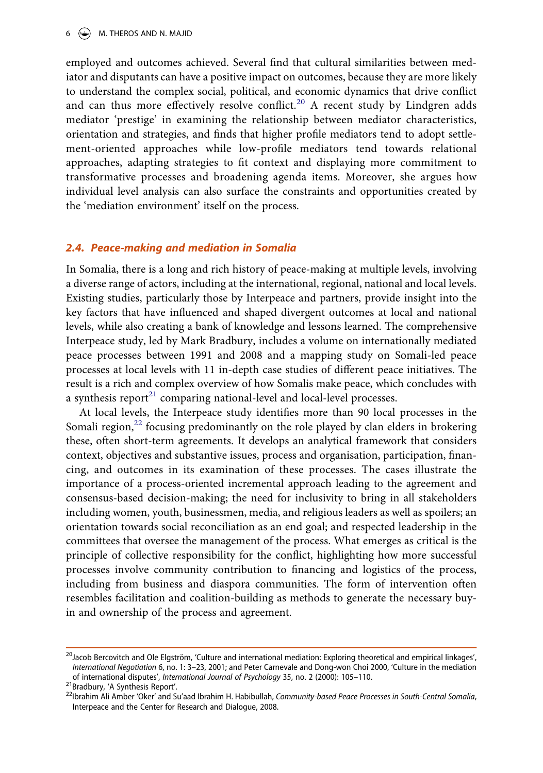employed and outcomes achieved. Several find that cultural similarities between mediator and disputants can have a positive impact on outcomes, because they are more likely to understand the complex social, political, and economic dynamics that drive conflict and can thus more effectively resolve conflict.<sup>[20](#page-6-0)</sup> A recent study by Lindgren adds mediator 'prestige' in examining the relationship between mediator characteristics, orientation and strategies, and finds that higher profile mediators tend to adopt settlement-oriented approaches while low-profile mediators tend towards relational approaches, adapting strategies to fit context and displaying more commitment to transformative processes and broadening agenda items. Moreover, she argues how individual level analysis can also surface the constraints and opportunities created by the 'mediation environment' itself on the process.

#### *2.4. Peace-making and mediation in Somalia*

In Somalia, there is a long and rich history of peace-making at multiple levels, involving a diverse range of actors, including at the international, regional, national and local levels. Existing studies, particularly those by Interpeace and partners, provide insight into the key factors that have influenced and shaped divergent outcomes at local and national levels, while also creating a bank of knowledge and lessons learned. The comprehensive Interpeace study, led by Mark Bradbury, includes a volume on internationally mediated peace processes between 1991 and 2008 and a mapping study on Somali-led peace processes at local levels with 11 in-depth case studies of different peace initiatives. The result is a rich and complex overview of how Somalis make peace, which concludes with a synthesis report $^{21}$  comparing national-level and local-level processes.

At local levels, the Interpeace study identifies more than 90 local processes in the Somali region, $^{22}$  $^{22}$  $^{22}$  focusing predominantly on the role played by clan elders in brokering these, often short-term agreements. It develops an analytical framework that considers context, objectives and substantive issues, process and organisation, participation, financing, and outcomes in its examination of these processes. The cases illustrate the importance of a process-oriented incremental approach leading to the agreement and consensus-based decision-making; the need for inclusivity to bring in all stakeholders including women, youth, businessmen, media, and religious leaders as well as spoilers; an orientation towards social reconciliation as an end goal; and respected leadership in the committees that oversee the management of the process. What emerges as critical is the principle of collective responsibility for the conflict, highlighting how more successful processes involve community contribution to financing and logistics of the process, including from business and diaspora communities. The form of intervention often resembles facilitation and coalition-building as methods to generate the necessary buyin and ownership of the process and agreement.

<span id="page-6-0"></span><sup>&</sup>lt;sup>20</sup>Jacob Bercovitch and Ole Elgström, 'Culture and international mediation: Exploring theoretical and empirical linkages', *International Negotiation* 6, no. 1: 3–23, 2001; and Peter Carnevale and Dong-won Choi 2000, 'Culture in the mediation

<span id="page-6-2"></span>

<span id="page-6-1"></span><sup>&</sup>lt;sup>21</sup> Bradbury, 'A Synthesis Report'.<br><sup>22</sup> Bradbury, 'A Synthesis Report'.<br><sup>22</sup> Ibrahim Ali Amber 'Oker' and Su'aad Ibrahim H. Habibullah, Community-based Peace Processes in South-Central Somalia, Interpeace and the Center for Research and Dialogue, 2008.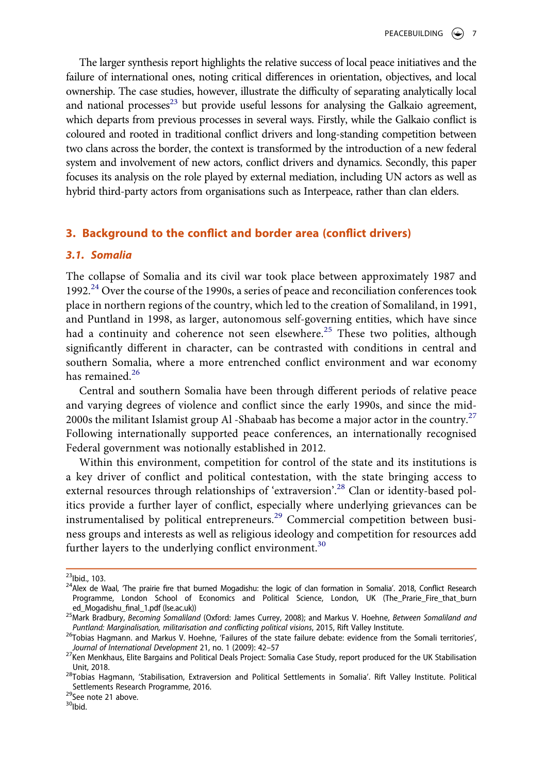The larger synthesis report highlights the relative success of local peace initiatives and the failure of international ones, noting critical differences in orientation, objectives, and local ownership. The case studies, however, illustrate the difficulty of separating analytically local and national processes $^{23}$  but provide useful lessons for analysing the Galkaio agreement, which departs from previous processes in several ways. Firstly, while the Galkaio conflict is coloured and rooted in traditional conflict drivers and long-standing competition between two clans across the border, the context is transformed by the introduction of a new federal system and involvement of new actors, conflict drivers and dynamics. Secondly, this paper focuses its analysis on the role played by external mediation, including UN actors as well as hybrid third-party actors from organisations such as Interpeace, rather than clan elders.

#### **3. Background to the conflict and border area (conflict drivers)**

#### *3.1. Somalia*

The collapse of Somalia and its civil war took place between approximately 1987 and 1992. $^{24}$  $^{24}$  $^{24}$  Over the course of the 1990s, a series of peace and reconciliation conferences took place in northern regions of the country, which led to the creation of Somaliland, in 1991, and Puntland in 1998, as larger, autonomous self-governing entities, which have since had a continuity and coherence not seen elsewhere.<sup>25</sup> These two polities, although significantly different in character, can be contrasted with conditions in central and southern Somalia, where a more entrenched conflict environment and war economy has remained.<sup>[26](#page-7-3)</sup>

Central and southern Somalia have been through different periods of relative peace and varying degrees of violence and conflict since the early 1990s, and since the mid-2000s the militant Islamist group Al -Shabaab has become a major actor in the country.<sup>[27](#page-7-4)</sup> Following internationally supported peace conferences, an internationally recognised Federal government was notionally established in 2012.

Within this environment, competition for control of the state and its institutions is a key driver of conflict and political contestation, with the state bringing access to external resources through relationships of 'extraversion'.<sup>28</sup> Clan or identity-based politics provide a further layer of conflict, especially where underlying grievances can be instrumentalised by political entrepreneurs.<sup>29</sup> Commercial competition between business groups and interests as well as religious ideology and competition for resources add further layers to the underlying conflict environment.<sup>[30](#page-7-7)</sup>

<span id="page-7-1"></span>

<span id="page-7-0"></span> $^{23}$ Ibid., 103.<br><sup>24</sup>Alex de Waal, 'The prairie fire that burned Mogadishu: the logic of clan formation in Somalia'. 2018, Conflict Research Programme, London School of Economics and Political Science, London, UK (The\_Prarie\_Fire\_that\_burn ed Mogadishu final 1.pdf (Ise.ac.uk))

<span id="page-7-2"></span><sup>&</sup>lt;sup>25</sup>Mark Bradbury, *Becoming Somaliland* (Oxford: James Currey, 2008); and Markus V. Hoehne, *Between Somaliland and* Puntland *and* Puntland: Marginalisation, militarisation and conflicting political visions, 2015, Rift V

<span id="page-7-3"></span> $^{26}$ Tobias Hagmann. and Markus V. Hoehne, 'Failures of the state failure debate: evidence from the Somali territories', Journal of International Development 21, no. 1 (2009): 42–57

<span id="page-7-4"></span><sup>&</sup>lt;sup>27</sup>Ken Menkhaus, Elite Bargains and Political Deals Project: Somalia Case Study, report produced for the UK Stabilisation

<span id="page-7-5"></span>Unit, 2018.<br><sup>28</sup>Tobias Hagmann, 'Stabilisation, Extraversion and Political Settlements in Somalia'. Rift Valley Institute. Political Settlements Research Programme, 2016.<br><sup>29</sup>See note 21 above.<br><sup>30</sup>Ibid.

<span id="page-7-6"></span>

<span id="page-7-7"></span>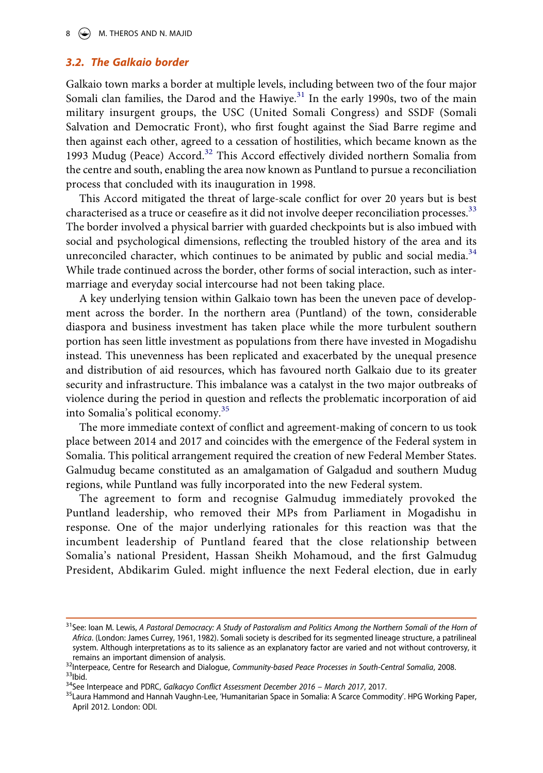#### *3.2. The Galkaio border*

Galkaio town marks a border at multiple levels, including between two of the four major Somali clan families, the Darod and the Hawiye.<sup>[31](#page-8-0)</sup> In the early 1990s, two of the main military insurgent groups, the USC (United Somali Congress) and SSDF (Somali Salvation and Democratic Front), who first fought against the Siad Barre regime and then against each other, agreed to a cessation of hostilities, which became known as the 1993 Mudug (Peace) Accord.<sup>[32](#page-8-1)</sup> This Accord effectively divided northern Somalia from the centre and south, enabling the area now known as Puntland to pursue a reconciliation process that concluded with its inauguration in 1998.

This Accord mitigated the threat of large-scale conflict for over 20 years but is best characterised as a truce or ceasefire as it did not involve deeper reconciliation processes.<sup>[33](#page-8-2)</sup> The border involved a physical barrier with guarded checkpoints but is also imbued with social and psychological dimensions, reflecting the troubled history of the area and its unreconciled character, which continues to be animated by public and social media. $34$ While trade continued across the border, other forms of social interaction, such as intermarriage and everyday social intercourse had not been taking place.

A key underlying tension within Galkaio town has been the uneven pace of development across the border. In the northern area (Puntland) of the town, considerable diaspora and business investment has taken place while the more turbulent southern portion has seen little investment as populations from there have invested in Mogadishu instead. This unevenness has been replicated and exacerbated by the unequal presence and distribution of aid resources, which has favoured north Galkaio due to its greater security and infrastructure. This imbalance was a catalyst in the two major outbreaks of violence during the period in question and reflects the problematic incorporation of aid into Somalia's political economy.[35](#page-8-4)

The more immediate context of conflict and agreement-making of concern to us took place between 2014 and 2017 and coincides with the emergence of the Federal system in Somalia. This political arrangement required the creation of new Federal Member States. Galmudug became constituted as an amalgamation of Galgadud and southern Mudug regions, while Puntland was fully incorporated into the new Federal system.

The agreement to form and recognise Galmudug immediately provoked the Puntland leadership, who removed their MPs from Parliament in Mogadishu in response. One of the major underlying rationales for this reaction was that the incumbent leadership of Puntland feared that the close relationship between Somalia's national President, Hassan Sheikh Mohamoud, and the first Galmudug President, Abdikarim Guled. might influence the next Federal election, due in early

<span id="page-8-0"></span><sup>&</sup>lt;sup>31</sup> See: Ioan M. Lewis, A Pastoral Democracy: A Study of Pastoralism and Politics Among the Northern Somali of the Horn of *Africa*. (London: James Currey, 1961, 1982). Somali society is described for its segmented lineage structure, a patrilineal system. Although interpretations as to its salience as an explanatory factor are varied and not without controversy, it<br>remains an important dimension of analysis.

<span id="page-8-2"></span><span id="page-8-1"></span><sup>&</sup>lt;sup>32</sup>Interpeace, Centre for Research and Dialogue, Community-based Peace Processes in South-Central Somalia, 2008.<br><sup>33</sup>Ibid.<br><sup>34</sup>See Interpeace and PDRC, Galkacyo Conflict Assessment December 2016 – March 2017, 2017.<br><sup>35</sup>L

<span id="page-8-3"></span>

<span id="page-8-4"></span>April 2012. London: ODI.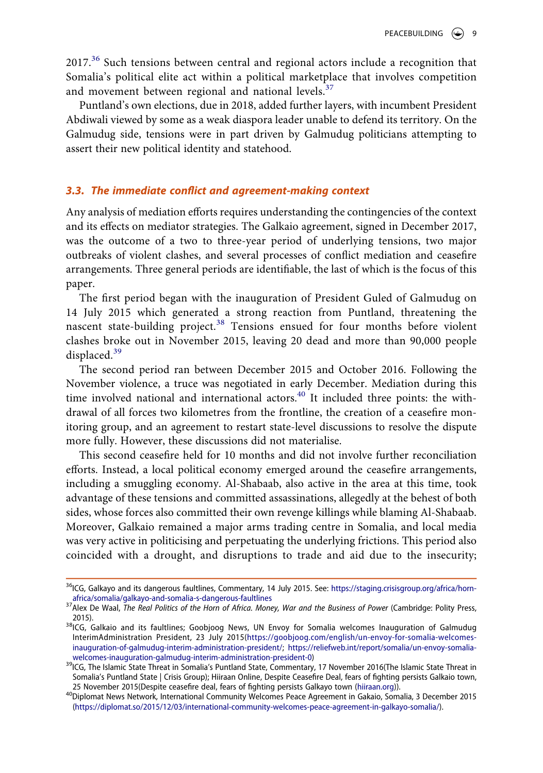$2017<sup>36</sup>$  Such tensions between central and regional actors include a recognition that Somalia's political elite act within a political marketplace that involves competition and movement between regional and national levels.<sup>[37](#page-9-1)</sup>

Puntland's own elections, due in 2018, added further layers, with incumbent President Abdiwali viewed by some as a weak diaspora leader unable to defend its territory. On the Galmudug side, tensions were in part driven by Galmudug politicians attempting to assert their new political identity and statehood.

#### *3.3. The immediate conflict and agreement-making context*

Any analysis of mediation efforts requires understanding the contingencies of the context and its effects on mediator strategies. The Galkaio agreement, signed in December 2017, was the outcome of a two to three-year period of underlying tensions, two major outbreaks of violent clashes, and several processes of conflict mediation and ceasefire arrangements. Three general periods are identifiable, the last of which is the focus of this paper.

The first period began with the inauguration of President Guled of Galmudug on 14 July 2015 which generated a strong reaction from Puntland, threatening the nascent state-building project.<sup>[38](#page-9-2)</sup> Tensions ensued for four months before violent clashes broke out in November 2015, leaving 20 dead and more than 90,000 people displaced.<sup>[39](#page-9-3)</sup>

The second period ran between December 2015 and October 2016. Following the November violence, a truce was negotiated in early December. Mediation during this time involved national and international actors.<sup>40</sup> It included three points: the withdrawal of all forces two kilometres from the frontline, the creation of a ceasefire monitoring group, and an agreement to restart state-level discussions to resolve the dispute more fully. However, these discussions did not materialise.

This second ceasefire held for 10 months and did not involve further reconciliation efforts. Instead, a local political economy emerged around the ceasefire arrangements, including a smuggling economy. Al-Shabaab, also active in the area at this time, took advantage of these tensions and committed assassinations, allegedly at the behest of both sides, whose forces also committed their own revenge killings while blaming Al-Shabaab. Moreover, Galkaio remained a major arms trading centre in Somalia, and local media was very active in politicising and perpetuating the underlying frictions. This period also coincided with a drought, and disruptions to trade and aid due to the insecurity;

<span id="page-9-0"></span><sup>&</sup>lt;sup>36</sup>ICG, Galkayo and its dangerous faultlines, Commentary, 14 July 2015. See: https://staging.crisisgroup.org/africa/horn-<br>africa/somalia/galkayo-and-somalia-s-dangerous-faultlines

<span id="page-9-1"></span><sup>&</sup>lt;sup>37</sup> Alex De Waal, *The Real Politics of the Horn of Africa. Money, War and the Business of Power* (Cambridge: Polity Press, 2015).<br><sup>38</sup>ICG, Galkaio and its faultlines; Goobjoog News, UN Envoy for Somalia welcomes Inauguration of Galmudug

<span id="page-9-2"></span>InterimAdministration President, 23 July 2015([https://goobjoog.com/english/un-envoy-for-somalia-welcomes](https://goobjoog.com/english/un-envoy-for-somalia-welcomes-inauguration-of-galmudug-interim-administration-president/)[inauguration-of-galmudug-interim-administration-president/;](https://goobjoog.com/english/un-envoy-for-somalia-welcomes-inauguration-of-galmudug-interim-administration-president/) https://reliefweb.int/report/somalia/un-envoy-somalia-<br>welcomes-inauguration-galmudug-interim-administration-president-0)

<span id="page-9-3"></span><sup>39</sup>ICG, The Islamic State Threat in Somalia's Puntland State, Commentary, 17 November 2016(The Islamic State Threat in Somalia's Puntland State | Crisis Group); Hiiraan Online, Despite Ceasefire Deal, fears of fighting persists Galkaio town, 25 November 2015(Despite ceasefire deal, fears of fighting persists Galkayo town ([hiiraan.org](http://hiiraan.org))).<br><sup>40</sup>Diplomat News Network, International Community Welcomes Peace Agreement in Gakaio, Somalia, 3 December 2015

<span id="page-9-4"></span>[<sup>\(</sup>https://diplomat.so/2015/12/03/international-community-welcomes-peace-agreement-in-galkayo-somalia/](https://diplomat.so/2015/12/03/international-community-welcomes-peace-agreement-in-galkayo-somalia/)).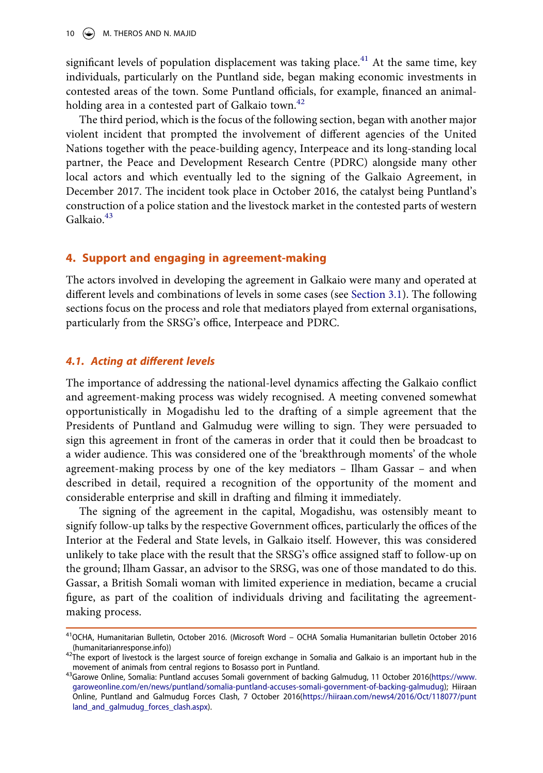10  $\left(\rightarrow\right)$  M. THEROS AND N. MAJID

significant levels of population displacement was taking place.<sup>41</sup> At the same time, key individuals, particularly on the Puntland side, began making economic investments in contested areas of the town. Some Puntland officials, for example, financed an animalholding area in a contested part of Galkaio town.<sup>42</sup>

The third period, which is the focus of the following section, began with another major violent incident that prompted the involvement of different agencies of the United Nations together with the peace-building agency, Interpeace and its long-standing local partner, the Peace and Development Research Centre (PDRC) alongside many other local actors and which eventually led to the signing of the Galkaio Agreement, in December 2017. The incident took place in October 2016, the catalyst being Puntland's construction of a police station and the livestock market in the contested parts of western Galkaio<sup>43</sup>

#### **4. Support and engaging in agreement-making**

The actors involved in developing the agreement in Galkaio were many and operated at different levels and combinations of levels in some cases (see [Section 3.1](#page-10-3)). The following sections focus on the process and role that mediators played from external organisations, particularly from the SRSG's office, Interpeace and PDRC.

#### <span id="page-10-3"></span>*4.1. Acting at different levels*

The importance of addressing the national-level dynamics affecting the Galkaio conflict and agreement-making process was widely recognised. A meeting convened somewhat opportunistically in Mogadishu led to the drafting of a simple agreement that the Presidents of Puntland and Galmudug were willing to sign. They were persuaded to sign this agreement in front of the cameras in order that it could then be broadcast to a wider audience. This was considered one of the 'breakthrough moments' of the whole agreement-making process by one of the key mediators – Ilham Gassar – and when described in detail, required a recognition of the opportunity of the moment and considerable enterprise and skill in drafting and filming it immediately.

The signing of the agreement in the capital, Mogadishu, was ostensibly meant to signify follow-up talks by the respective Government offices, particularly the offices of the Interior at the Federal and State levels, in Galkaio itself. However, this was considered unlikely to take place with the result that the SRSG's office assigned staff to follow-up on the ground; Ilham Gassar, an advisor to the SRSG, was one of those mandated to do this. Gassar, a British Somali woman with limited experience in mediation, became a crucial figure, as part of the coalition of individuals driving and facilitating the agreementmaking process.

<span id="page-10-0"></span><sup>&</sup>lt;sup>41</sup>OCHA, Humanitarian Bulletin, October 2016. (Microsoft Word – OCHA Somalia Humanitarian bulletin October 2016<br>(humanitarianresponse.info))

<span id="page-10-1"></span><sup>42</sup>The export of livestock is the largest source of foreign exchange in Somalia and Galkaio is an important hub in the

<span id="page-10-2"></span>movement of animals from central regions to Bosasso port in Puntland.<br><sup>43</sup>Garowe Online, Somalia: Puntland accuses Somali government of backing Galmudug, 11 October 2016[\(https://www.](https://www.garoweonline.com/en/news/puntland/somalia-puntland-accuses-somali-government-of-backing-galmudug) [garoweonline.com/en/news/puntland/somalia-puntland-accuses-somali-government-of-backing-galmudug\)](https://www.garoweonline.com/en/news/puntland/somalia-puntland-accuses-somali-government-of-backing-galmudug); Hiiraan Online, Puntland and Galmudug Forces Clash, 7 October 2016[\(https://hiiraan.com/news4/2016/Oct/118077/punt](https://hiiraan.com/news4/2016/Oct/118077/puntland_and_galmudug_forces_clash.aspx) land and galmudug forces clash.aspx).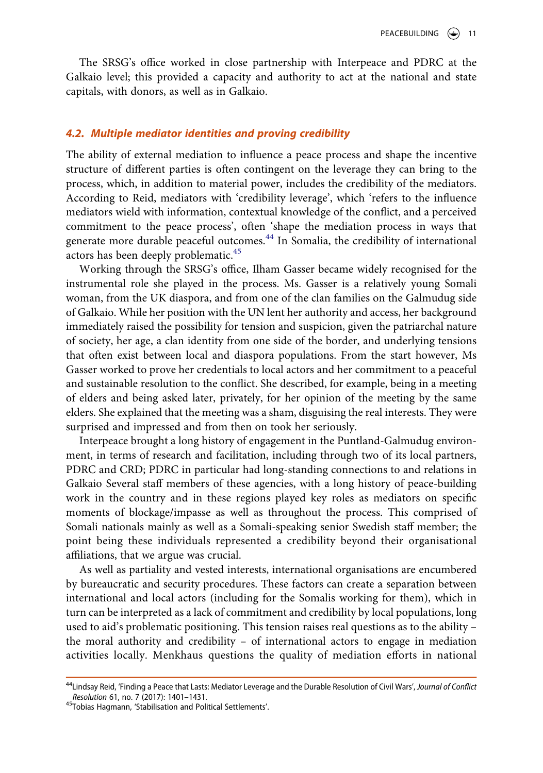The SRSG's office worked in close partnership with Interpeace and PDRC at the Galkaio level; this provided a capacity and authority to act at the national and state capitals, with donors, as well as in Galkaio.

#### *4.2. Multiple mediator identities and proving credibility*

The ability of external mediation to influence a peace process and shape the incentive structure of different parties is often contingent on the leverage they can bring to the process, which, in addition to material power, includes the credibility of the mediators. According to Reid, mediators with 'credibility leverage', which 'refers to the influence mediators wield with information, contextual knowledge of the conflict, and a perceived commitment to the peace process', often 'shape the mediation process in ways that generate more durable peaceful outcomes.[44](#page-11-0) In Somalia, the credibility of international actors has been deeply problematic.<sup>[45](#page-11-1)</sup>

Working through the SRSG's office, Ilham Gasser became widely recognised for the instrumental role she played in the process. Ms. Gasser is a relatively young Somali woman, from the UK diaspora, and from one of the clan families on the Galmudug side of Galkaio. While her position with the UN lent her authority and access, her background immediately raised the possibility for tension and suspicion, given the patriarchal nature of society, her age, a clan identity from one side of the border, and underlying tensions that often exist between local and diaspora populations. From the start however, Ms Gasser worked to prove her credentials to local actors and her commitment to a peaceful and sustainable resolution to the conflict. She described, for example, being in a meeting of elders and being asked later, privately, for her opinion of the meeting by the same elders. She explained that the meeting was a sham, disguising the real interests. They were surprised and impressed and from then on took her seriously.

Interpeace brought a long history of engagement in the Puntland-Galmudug environment, in terms of research and facilitation, including through two of its local partners, PDRC and CRD; PDRC in particular had long-standing connections to and relations in Galkaio Several staff members of these agencies, with a long history of peace-building work in the country and in these regions played key roles as mediators on specific moments of blockage/impasse as well as throughout the process. This comprised of Somali nationals mainly as well as a Somali-speaking senior Swedish staff member; the point being these individuals represented a credibility beyond their organisational affiliations, that we argue was crucial.

As well as partiality and vested interests, international organisations are encumbered by bureaucratic and security procedures. These factors can create a separation between international and local actors (including for the Somalis working for them), which in turn can be interpreted as a lack of commitment and credibility by local populations, long used to aid's problematic positioning. This tension raises real questions as to the ability – the moral authority and credibility – of international actors to engage in mediation activities locally. Menkhaus questions the quality of mediation efforts in national

<span id="page-11-0"></span><sup>44</sup>Lindsay Reid, 'Finding a Peace that Lasts: Mediator Leverage and the Durable Resolution of Civil Wars', *Journal of Conflict* 

<span id="page-11-1"></span>*Resolution* 61, no. 7 (2017): 1401–1431. 45Tobias Hagmann, 'Stabilisation and Political Settlements'.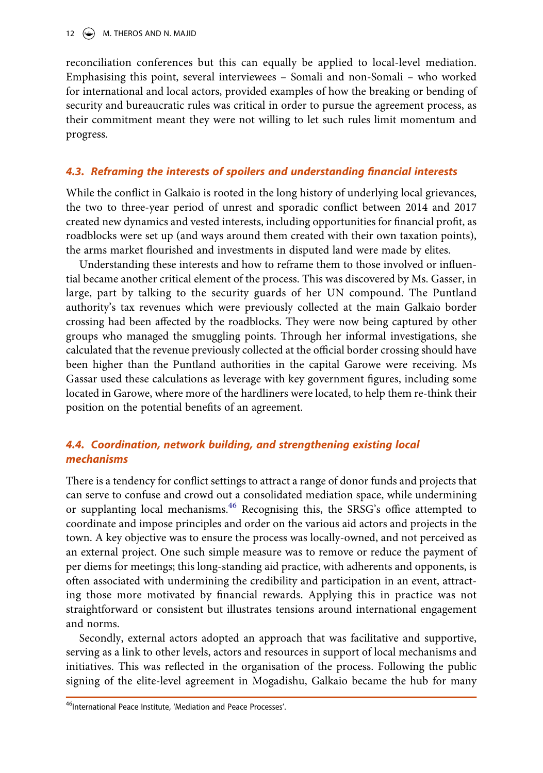reconciliation conferences but this can equally be applied to local-level mediation. Emphasising this point, several interviewees – Somali and non-Somali – who worked for international and local actors, provided examples of how the breaking or bending of security and bureaucratic rules was critical in order to pursue the agreement process, as their commitment meant they were not willing to let such rules limit momentum and progress.

#### *4.3. Reframing the interests of spoilers and understanding financial interests*

While the conflict in Galkaio is rooted in the long history of underlying local grievances, the two to three-year period of unrest and sporadic conflict between 2014 and 2017 created new dynamics and vested interests, including opportunities for financial profit, as roadblocks were set up (and ways around them created with their own taxation points), the arms market flourished and investments in disputed land were made by elites.

Understanding these interests and how to reframe them to those involved or influential became another critical element of the process. This was discovered by Ms. Gasser, in large, part by talking to the security guards of her UN compound. The Puntland authority's tax revenues which were previously collected at the main Galkaio border crossing had been affected by the roadblocks. They were now being captured by other groups who managed the smuggling points. Through her informal investigations, she calculated that the revenue previously collected at the official border crossing should have been higher than the Puntland authorities in the capital Garowe were receiving. Ms Gassar used these calculations as leverage with key government figures, including some located in Garowe, where more of the hardliners were located, to help them re-think their position on the potential benefits of an agreement.

## *4.4. Coordination, network building, and strengthening existing local mechanisms*

There is a tendency for conflict settings to attract a range of donor funds and projects that can serve to confuse and crowd out a consolidated mediation space, while undermining or supplanting local mechanisms.<sup>[46](#page-12-0)</sup> Recognising this, the SRSG's office attempted to coordinate and impose principles and order on the various aid actors and projects in the town. A key objective was to ensure the process was locally-owned, and not perceived as an external project. One such simple measure was to remove or reduce the payment of per diems for meetings; this long-standing aid practice, with adherents and opponents, is often associated with undermining the credibility and participation in an event, attracting those more motivated by financial rewards. Applying this in practice was not straightforward or consistent but illustrates tensions around international engagement and norms.

Secondly, external actors adopted an approach that was facilitative and supportive, serving as a link to other levels, actors and resources in support of local mechanisms and initiatives. This was reflected in the organisation of the process. Following the public signing of the elite-level agreement in Mogadishu, Galkaio became the hub for many

<span id="page-12-0"></span><sup>46</sup>International Peace Institute, 'Mediation and Peace Processes'.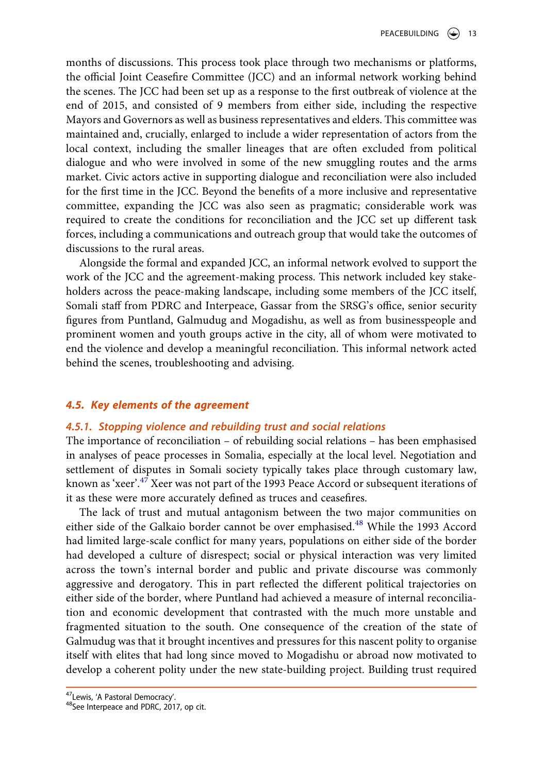months of discussions. This process took place through two mechanisms or platforms, the official Joint Ceasefire Committee (JCC) and an informal network working behind the scenes. The JCC had been set up as a response to the first outbreak of violence at the end of 2015, and consisted of 9 members from either side, including the respective Mayors and Governors as well as business representatives and elders. This committee was maintained and, crucially, enlarged to include a wider representation of actors from the local context, including the smaller lineages that are often excluded from political dialogue and who were involved in some of the new smuggling routes and the arms market. Civic actors active in supporting dialogue and reconciliation were also included for the first time in the JCC. Beyond the benefits of a more inclusive and representative committee, expanding the JCC was also seen as pragmatic; considerable work was required to create the conditions for reconciliation and the JCC set up different task forces, including a communications and outreach group that would take the outcomes of discussions to the rural areas.

Alongside the formal and expanded JCC, an informal network evolved to support the work of the JCC and the agreement-making process. This network included key stakeholders across the peace-making landscape, including some members of the JCC itself, Somali staff from PDRC and Interpeace, Gassar from the SRSG's office, senior security figures from Puntland, Galmudug and Mogadishu, as well as from businesspeople and prominent women and youth groups active in the city, all of whom were motivated to end the violence and develop a meaningful reconciliation. This informal network acted behind the scenes, troubleshooting and advising.

#### *4.5. Key elements of the agreement*

#### *4.5.1. Stopping violence and rebuilding trust and social relations*

The importance of reconciliation – of rebuilding social relations – has been emphasised in analyses of peace processes in Somalia, especially at the local level. Negotiation and settlement of disputes in Somali society typically takes place through customary law, known as 'xeer'.[47](#page-13-0) Xeer was not part of the 1993 Peace Accord or subsequent iterations of it as these were more accurately defined as truces and ceasefires.

The lack of trust and mutual antagonism between the two major communities on either side of the Galkaio border cannot be over emphasised.<sup>[48](#page-13-1)</sup> While the 1993 Accord had limited large-scale conflict for many years, populations on either side of the border had developed a culture of disrespect; social or physical interaction was very limited across the town's internal border and public and private discourse was commonly aggressive and derogatory. This in part reflected the different political trajectories on either side of the border, where Puntland had achieved a measure of internal reconciliation and economic development that contrasted with the much more unstable and fragmented situation to the south. One consequence of the creation of the state of Galmudug was that it brought incentives and pressures for this nascent polity to organise itself with elites that had long since moved to Mogadishu or abroad now motivated to develop a coherent polity under the new state-building project. Building trust required

<span id="page-13-1"></span>

<span id="page-13-0"></span> $47$ Lewis, 'A Pastoral Democracy'.<br> $48$ See Interpeace and PDRC, 2017, op cit.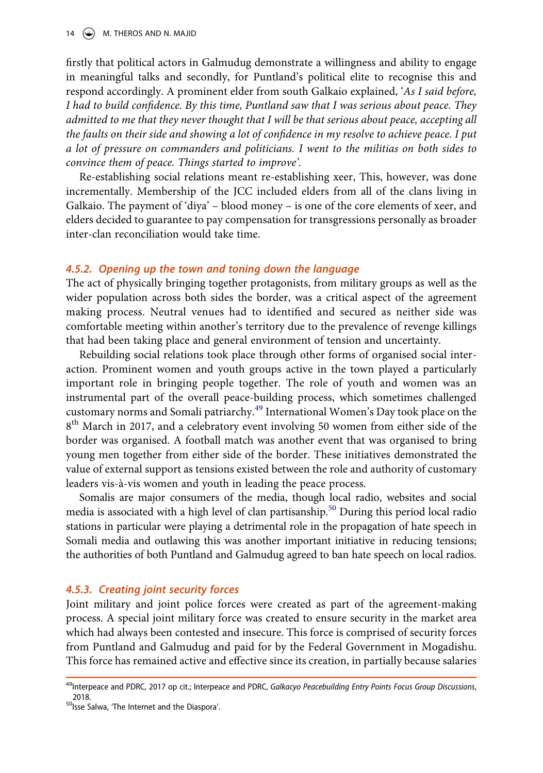14  $\left(\rightarrow\right)$  M. THEROS AND N. MAJID

firstly that political actors in Galmudug demonstrate a willingness and ability to engage in meaningful talks and secondly, for Puntland's political elite to recognise this and respond accordingly. A prominent elder from south Galkaio explained, '*As I said before, I had to build confidence. By this time, Puntland saw that I was serious about peace. They admitted to me that they never thought that I will be that serious about peace, accepting all the faults on their side and showing a lot of confidence in my resolve to achieve peace. I put a lot of pressure on commanders and politicians. I went to the militias on both sides to convince them of peace. Things started to improve'.*

Re-establishing social relations meant re-establishing xeer, This, however, was done incrementally. Membership of the JCC included elders from all of the clans living in Galkaio. The payment of 'diya' – blood money – is one of the core elements of xeer, and elders decided to guarantee to pay compensation for transgressions personally as broader inter-clan reconciliation would take time.

#### *4.5.2. Opening up the town and toning down the language*

The act of physically bringing together protagonists, from military groups as well as the wider population across both sides the border, was a critical aspect of the agreement making process. Neutral venues had to identified and secured as neither side was comfortable meeting within another's territory due to the prevalence of revenge killings that had been taking place and general environment of tension and uncertainty.

Rebuilding social relations took place through other forms of organised social interaction. Prominent women and youth groups active in the town played a particularly important role in bringing people together. The role of youth and women was an instrumental part of the overall peace-building process, which sometimes challenged customary norms and Somali patriarchy.[49](#page-14-0) International Women's Day took place on the 8<sup>th</sup> March in 2017, and a celebratory event involving 50 women from either side of the border was organised. A football match was another event that was organised to bring young men together from either side of the border. These initiatives demonstrated the value of external support as tensions existed between the role and authority of customary leaders vis-à-vis women and youth in leading the peace process.

Somalis are major consumers of the media, though local radio, websites and social media is associated with a high level of clan partisanship.<sup>50</sup> During this period local radio stations in particular were playing a detrimental role in the propagation of hate speech in Somali media and outlawing this was another important initiative in reducing tensions; the authorities of both Puntland and Galmudug agreed to ban hate speech on local radios.

#### *4.5.3. Creating joint security forces*

Joint military and joint police forces were created as part of the agreement-making process. A special joint military force was created to ensure security in the market area which had always been contested and insecure. This force is comprised of security forces from Puntland and Galmudug and paid for by the Federal Government in Mogadishu. This force has remained active and effective since its creation, in partially because salaries

<span id="page-14-0"></span><sup>49</sup>Interpeace and PDRC, 2017 op cit.; Interpeace and PDRC, *Galkacyo Peacebuilding Entry Points Focus Group Discussions*, 2018. 2018.  $50$ <br>Solsse Salwa, 'The Internet and the Diaspora'.

<span id="page-14-1"></span>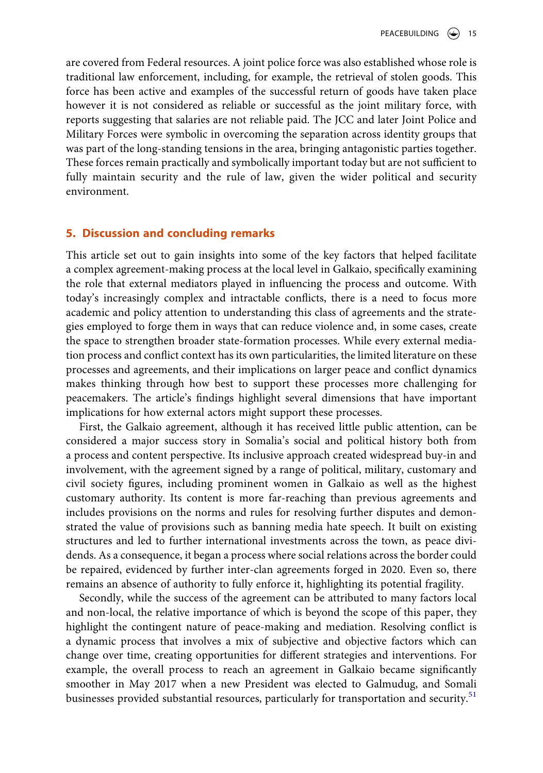are covered from Federal resources. A joint police force was also established whose role is traditional law enforcement, including, for example, the retrieval of stolen goods. This force has been active and examples of the successful return of goods have taken place however it is not considered as reliable or successful as the joint military force, with reports suggesting that salaries are not reliable paid. The JCC and later Joint Police and Military Forces were symbolic in overcoming the separation across identity groups that was part of the long-standing tensions in the area, bringing antagonistic parties together. These forces remain practically and symbolically important today but are not sufficient to fully maintain security and the rule of law, given the wider political and security environment.

#### **5. Discussion and concluding remarks**

This article set out to gain insights into some of the key factors that helped facilitate a complex agreement-making process at the local level in Galkaio, specifically examining the role that external mediators played in influencing the process and outcome. With today's increasingly complex and intractable conflicts, there is a need to focus more academic and policy attention to understanding this class of agreements and the strategies employed to forge them in ways that can reduce violence and, in some cases, create the space to strengthen broader state-formation processes. While every external mediation process and conflict context has its own particularities, the limited literature on these processes and agreements, and their implications on larger peace and conflict dynamics makes thinking through how best to support these processes more challenging for peacemakers. The article's findings highlight several dimensions that have important implications for how external actors might support these processes.

First, the Galkaio agreement, although it has received little public attention, can be considered a major success story in Somalia's social and political history both from a process and content perspective. Its inclusive approach created widespread buy-in and involvement, with the agreement signed by a range of political, military, customary and civil society figures, including prominent women in Galkaio as well as the highest customary authority. Its content is more far-reaching than previous agreements and includes provisions on the norms and rules for resolving further disputes and demonstrated the value of provisions such as banning media hate speech. It built on existing structures and led to further international investments across the town, as peace dividends. As a consequence, it began a process where social relations across the border could be repaired, evidenced by further inter-clan agreements forged in 2020. Even so, there remains an absence of authority to fully enforce it, highlighting its potential fragility.

Secondly, while the success of the agreement can be attributed to many factors local and non-local, the relative importance of which is beyond the scope of this paper, they highlight the contingent nature of peace-making and mediation. Resolving conflict is a dynamic process that involves a mix of subjective and objective factors which can change over time, creating opportunities for different strategies and interventions. For example, the overall process to reach an agreement in Galkaio became significantly smoother in May 2017 when a new President was elected to Galmudug, and Somali businesses provided substantial resources, particularly for transportation and security.<sup>51</sup>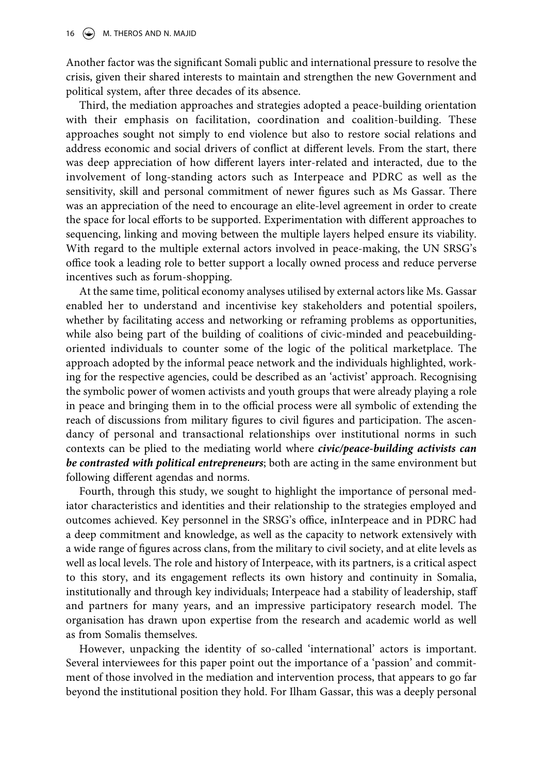Another factor was the significant Somali public and international pressure to resolve the crisis, given their shared interests to maintain and strengthen the new Government and political system, after three decades of its absence.

Third, the mediation approaches and strategies adopted a peace-building orientation with their emphasis on facilitation, coordination and coalition-building. These approaches sought not simply to end violence but also to restore social relations and address economic and social drivers of conflict at different levels. From the start, there was deep appreciation of how different layers inter-related and interacted, due to the involvement of long-standing actors such as Interpeace and PDRC as well as the sensitivity, skill and personal commitment of newer figures such as Ms Gassar. There was an appreciation of the need to encourage an elite-level agreement in order to create the space for local efforts to be supported. Experimentation with different approaches to sequencing, linking and moving between the multiple layers helped ensure its viability. With regard to the multiple external actors involved in peace-making, the UN SRSG's office took a leading role to better support a locally owned process and reduce perverse incentives such as forum-shopping.

At the same time, political economy analyses utilised by external actors like Ms. Gassar enabled her to understand and incentivise key stakeholders and potential spoilers, whether by facilitating access and networking or reframing problems as opportunities, while also being part of the building of coalitions of civic-minded and peacebuildingoriented individuals to counter some of the logic of the political marketplace. The approach adopted by the informal peace network and the individuals highlighted, working for the respective agencies, could be described as an 'activist' approach. Recognising the symbolic power of women activists and youth groups that were already playing a role in peace and bringing them in to the official process were all symbolic of extending the reach of discussions from military figures to civil figures and participation. The ascendancy of personal and transactional relationships over institutional norms in such contexts can be plied to the mediating world where *civic/peace-building activists can be contrasted with political entrepreneurs*; both are acting in the same environment but following different agendas and norms.

Fourth, through this study, we sought to highlight the importance of personal mediator characteristics and identities and their relationship to the strategies employed and outcomes achieved. Key personnel in the SRSG's office, inInterpeace and in PDRC had a deep commitment and knowledge, as well as the capacity to network extensively with a wide range of figures across clans, from the military to civil society, and at elite levels as well as local levels. The role and history of Interpeace, with its partners, is a critical aspect to this story, and its engagement reflects its own history and continuity in Somalia, institutionally and through key individuals; Interpeace had a stability of leadership, staff and partners for many years, and an impressive participatory research model. The organisation has drawn upon expertise from the research and academic world as well as from Somalis themselves.

However, unpacking the identity of so-called 'international' actors is important. Several interviewees for this paper point out the importance of a 'passion' and commitment of those involved in the mediation and intervention process, that appears to go far beyond the institutional position they hold. For Ilham Gassar, this was a deeply personal